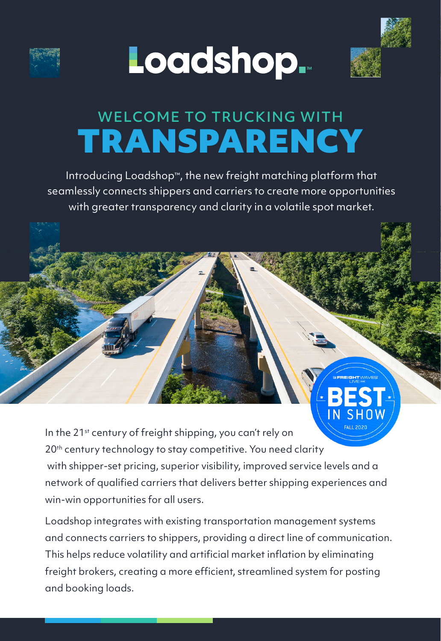





# **TRANSPARENCY** WELCOME TO TRUCKING WITH

Introducing Loadshop™, the new freight matching platform that seamlessly connects shippers and carriers to create more opportunities with greater transparency and clarity in a volatile spot market.

In the 21<sup>st</sup> century of freight shipping, you can't rely on 20<sup>th</sup> century technology to stay competitive. You need clarity with shipper-set pricing, superior visibility, improved service levels and a network of qualified carriers that delivers better shipping experiences and win-win opportunities for all users.

Loadshop integrates with existing transportation management systems and connects carriers to shippers, providing a direct line of communication. This helps reduce volatility and artificial market inflation by eliminating freight brokers, creating a more efficient, streamlined system for posting and booking loads.